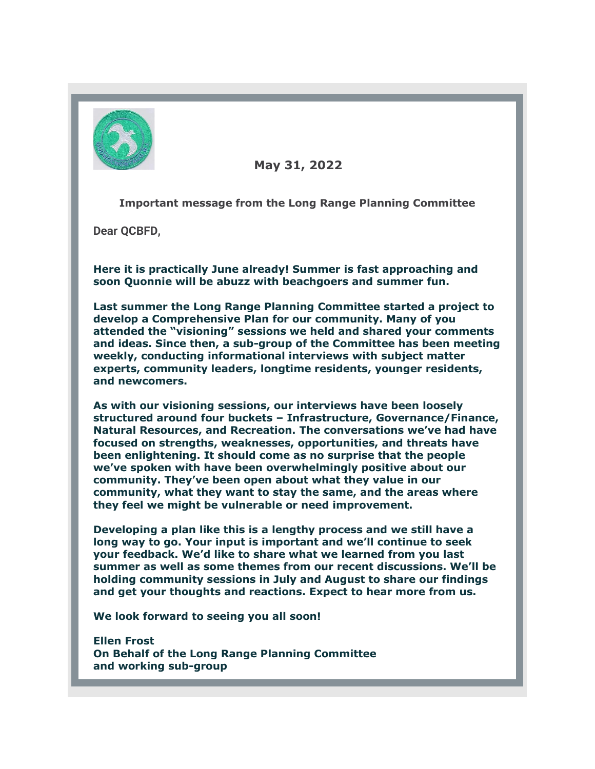

 **May 31, 2022**

**Important message from the Long Range Planning Committee**

**Dear QCBFD,**

**Here it is practically June already! Summer is fast approaching and soon Quonnie will be abuzz with beachgoers and summer fun.**

**Last summer the Long Range Planning Committee started a project to develop a Comprehensive Plan for our community. Many of you attended the "visioning" sessions we held and shared your comments and ideas. Since then, a sub-group of the Committee has been meeting weekly, conducting informational interviews with subject matter experts, community leaders, longtime residents, younger residents, and newcomers.**

**As with our visioning sessions, our interviews have been loosely structured around four buckets – Infrastructure, Governance/Finance, Natural Resources, and Recreation. The conversations we've had have focused on strengths, weaknesses, opportunities, and threats have been enlightening. It should come as no surprise that the people we've spoken with have been overwhelmingly positive about our community. They've been open about what they value in our community, what they want to stay the same, and the areas where they feel we might be vulnerable or need improvement.**

**Developing a plan like this is a lengthy process and we still have a long way to go. Your input is important and we'll continue to seek your feedback. We'd like to share what we learned from you last summer as well as some themes from our recent discussions. We'll be holding community sessions in July and August to share our findings and get your thoughts and reactions. Expect to hear more from us.**

**We look forward to seeing you all soon!**

**Ellen Frost On Behalf of the Long Range Planning Committee and working sub-group**